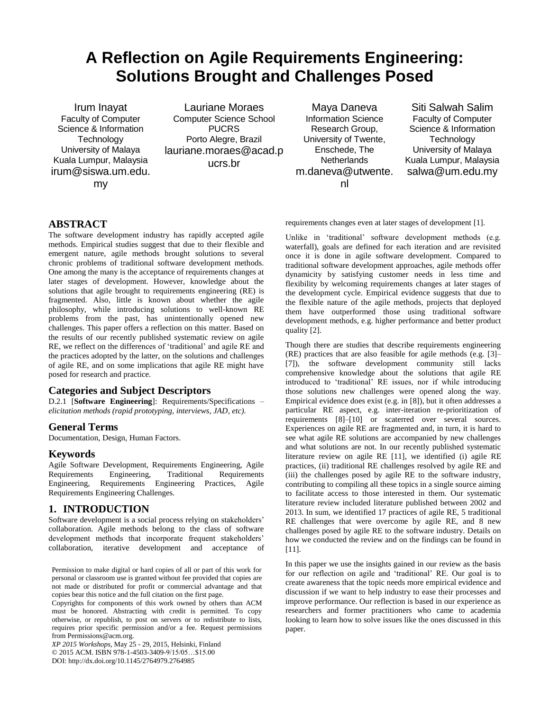# **A Reflection on Agile Requirements Engineering: Solutions Brought and Challenges Posed**

Irum Inayat Faculty of Computer Science & Information **Technology** University of Malaya Kuala Lumpur, Malaysia irum@siswa.um.edu.

my

Lauriane Moraes Computer Science School PUCRS Porto Alegre, Brazil lauriane.moraes@acad.p ucrs.br

Maya Daneva Information Science Research Group, University of Twente, Enschede, The **Netherlands** m.daneva@utwente. nl

Siti Salwah Salim Faculty of Computer Science & Information **Technology** University of Malaya Kuala Lumpur, Malaysia salwa@um.edu.my

# **ABSTRACT**

The software development industry has rapidly accepted agile methods. Empirical studies suggest that due to their flexible and emergent nature, agile methods brought solutions to several chronic problems of traditional software development methods. One among the many is the acceptance of requirements changes at later stages of development. However, knowledge about the solutions that agile brought to requirements engineering (RE) is fragmented. Also, little is known about whether the agile philosophy, while introducing solutions to well-known RE problems from the past, has unintentionally opened new challenges. This paper offers a reflection on this matter. Based on the results of our recently published systematic review on agile RE, we reflect on the differences of 'traditional' and agile RE and the practices adopted by the latter, on the solutions and challenges of agile RE, and on some implications that agile RE might have posed for research and practice.

## **Categories and Subject Descriptors**

D.2.1 [**Software Engineering**]: Requirements/Specifications – *elicitation methods (rapid prototyping, interviews, JAD, etc).*

## **General Terms**

Documentation, Design, Human Factors.

#### **Keywords**

Agile Software Development, Requirements Engineering, Agile Requirements Engineering, Traditional Requirements Engineering, Requirements Engineering Practices, Agile Requirements Engineering Challenges.

## **1. INTRODUCTION**

Software development is a social process relying on stakeholders' collaboration. Agile methods belong to the class of software development methods that incorporate frequent stakeholders' collaboration, iterative development and acceptance of

Permission to make digital or hard copies of all or part of this work for personal or classroom use is granted without fee provided that copies are not made or distributed for profit or commercial advantage and that copies bear this notice and the full citation on the first page.

Copyrights for components of this work owned by others than ACM must be honored. Abstracting with credit is permitted. To copy otherwise, or republish, to post on servers or to redistribute to lists, requires prior specific permission and/or a fee. Request permissions from Permissions@acm.org.

*XP 2015 Workshops*, May 25 - 29, 2015, Helsinki, Finland © 2015 ACM. ISBN 978-1-4503-3409-9/15/05…\$15.00 DOI: http://dx.doi.org/10.1145/2764979.2764985

requirements changes even at later stages of development [1].

Unlike in 'traditional' software development methods (e.g. waterfall), goals are defined for each iteration and are revisited once it is done in agile software development. Compared to traditional software development approaches, agile methods offer dynamicity by satisfying customer needs in less time and flexibility by welcoming requirements changes at later stages of the development cycle. Empirical evidence suggests that due to the flexible nature of the agile methods, projects that deployed them have outperformed those using traditional software development methods, e.g. higher performance and better product quality [2].

Though there are studies that describe requirements engineering (RE) practices that are also feasible for agile methods (e.g. [3]– [7]), the software development community still lacks comprehensive knowledge about the solutions that agile RE introduced to 'traditional' RE issues, nor if while introducing those solutions new challenges were opened along the way. Empirical evidence does exist (e.g. in [8]), but it often addresses a particular RE aspect, e.g. inter-iteration re-prioritization of requirements [8]–[10] or scaterred over several sources. Experiences on agile RE are fragmented and, in turn, it is hard to see what agile RE solutions are accompanied by new challenges and what solutions are not. In our recently published systematic literature review on agile RE [11], we identified (i) agile RE practices, (ii) traditional RE challenges resolved by agile RE and (iii) the challenges posed by agile RE to the software industry, contributing to compiling all these topics in a single source aiming to facilitate access to those interested in them. Our systematic literature review included literature published between 2002 and 2013. In sum, we identified 17 practices of agile RE, 5 traditional RE challenges that were overcome by agile RE, and 8 new challenges posed by agile RE to the software industry. Details on how we conducted the review and on the findings can be found in [11].

In this paper we use the insights gained in our review as the basis for our reflection on agile and 'traditional' RE. Our goal is to create awareness that the topic needs more empirical evidence and discussion if we want to help industry to ease their processes and improve performance. Our reflection is based in our experience as researchers and former practitioners who came to academia looking to learn how to solve issues like the ones discussed in this paper.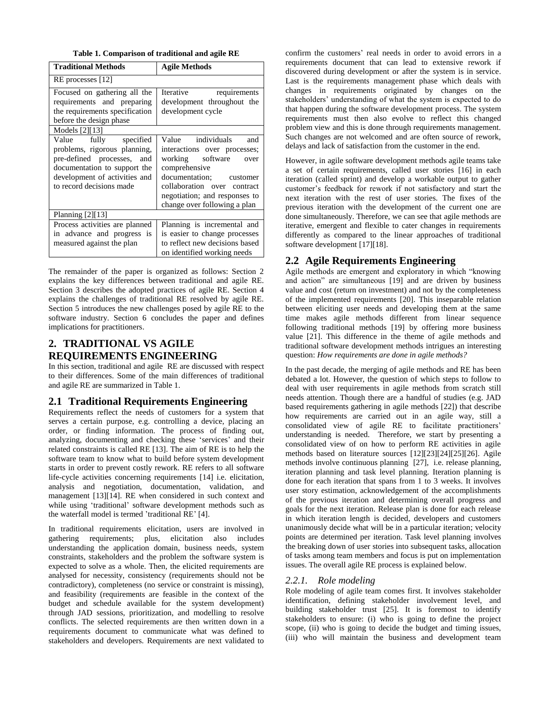|  |  | Table 1. Comparison of traditional and agile RE |  |  |  |  |
|--|--|-------------------------------------------------|--|--|--|--|
|--|--|-------------------------------------------------|--|--|--|--|

| <b>Traditional Methods</b>                                                                                                                                                                         | <b>Agile Methods</b>                                                                                                                                                                                                          |  |  |  |
|----------------------------------------------------------------------------------------------------------------------------------------------------------------------------------------------------|-------------------------------------------------------------------------------------------------------------------------------------------------------------------------------------------------------------------------------|--|--|--|
| RE processes [12]                                                                                                                                                                                  |                                                                                                                                                                                                                               |  |  |  |
| Focused on gathering all the<br>requirements and preparing<br>the requirements specification<br>before the design phase                                                                            | Iterative requirements<br>development throughout the<br>development cycle                                                                                                                                                     |  |  |  |
| Models [2][13]<br>Value fully specified<br>problems, rigorous planning,<br>pre-defined processes, and<br>documentation to support the<br>development of activities and<br>to record decisions made | Value individuals and<br>interactions over processes;<br>working software<br>over<br>comprehensive<br>documentation; customer<br>collaboration over contract<br>negotiation; and responses to<br>change over following a plan |  |  |  |
| Planning [2][13]                                                                                                                                                                                   |                                                                                                                                                                                                                               |  |  |  |
| Process activities are planned<br>in advance and progress is<br>measured against the plan                                                                                                          | Planning is incremental and<br>is easier to change processes<br>to reflect new decisions based<br>on identified working needs                                                                                                 |  |  |  |

The remainder of the paper is organized as follows: Section 2 explains the key differences between traditional and agile RE. Section 3 describes the adopted practices of agile RE. Section 4 explains the challenges of traditional RE resolved by agile RE. Section 5 introduces the new challenges posed by agile RE to the software industry. Section 6 concludes the paper and defines implications for practitioners.

# **2. TRADITIONAL VS AGILE REQUIREMENTS ENGINEERING**

In this section, traditional and agile RE are discussed with respect to their differences. Some of the main differences of traditional and agile RE are summarized in Table 1.

## **2.1 Traditional Requirements Engineering**

Requirements reflect the needs of customers for a system that serves a certain purpose, e.g. controlling a device, placing an order, or finding information. The process of finding out, analyzing, documenting and checking these 'services' and their related constraints is called RE [13]. The aim of RE is to help the software team to know what to build before system development starts in order to prevent costly rework. RE refers to all software life-cycle activities concerning requirements [14] i.e. elicitation, analysis and negotiation, documentation, validation, and management [13][14]. RE when considered in such context and while using 'traditional' software development methods such as the waterfall model is termed 'traditional RE' [4].

In traditional requirements elicitation, users are involved in gathering requirements; plus, elicitation also includes understanding the application domain, business needs, system constraints, stakeholders and the problem the software system is expected to solve as a whole. Then, the elicited requirements are analysed for necessity, consistency (requirements should not be contradictory), completeness (no service or constraint is missing), and feasibility (requirements are feasible in the context of the budget and schedule available for the system development) through JAD sessions, prioritization, and modelling to resolve conflicts. The selected requirements are then written down in a requirements document to communicate what was defined to stakeholders and developers. Requirements are next validated to

confirm the customers' real needs in order to avoid errors in a requirements document that can lead to extensive rework if discovered during development or after the system is in service. Last is the requirements management phase which deals with changes in requirements originated by changes on the stakeholders' understanding of what the system is expected to do that happen during the software development process. The system requirements must then also evolve to reflect this changed problem view and this is done through requirements management. Such changes are not welcomed and are often source of rework, delays and lack of satisfaction from the customer in the end.

However, in agile software development methods agile teams take a set of certain requirements, called user stories [16] in each iteration (called sprint) and develop a workable output to gather customer's feedback for rework if not satisfactory and start the next iteration with the rest of user stories. The fixes of the previous iteration with the development of the current one are done simultaneously. Therefore, we can see that agile methods are iterative, emergent and flexible to cater changes in requirements differently as compared to the linear approaches of traditional software development [17][18].

# **2.2 Agile Requirements Engineering**

Agile methods are emergent and exploratory in which "knowing and action" are simultaneous [19] and are driven by business value and cost (return on investment) and not by the completeness of the implemented requirements [20]. This inseparable relation between eliciting user needs and developing them at the same time makes agile methods different from linear sequence following traditional methods [19] by offering more business value [21]. This difference in the theme of agile methods and traditional software development methods intrigues an interesting question: *How requirements are done in agile methods?*

In the past decade, the merging of agile methods and RE has been debated a lot. However, the question of which steps to follow to deal with user requirements in agile methods from scratch still needs attention. Though there are a handful of studies (e.g. JAD based requirements gathering in agile methods [22]) that describe how requirements are carried out in an agile way, still a consolidated view of agile RE to facilitate practitioners' understanding is needed. Therefore, we start by presenting a consolidated view of on how to perform RE activities in agile methods based on literature sources [12][23][24][25][26]. Agile methods involve continuous planning [27], i.e. release planning, iteration planning and task level planning. Iteration planning is done for each iteration that spans from 1 to 3 weeks. It involves user story estimation, acknowledgement of the accomplishments of the previous iteration and determining overall progress and goals for the next iteration. Release plan is done for each release in which iteration length is decided, developers and customers unanimously decide what will be in a particular iteration; velocity points are determined per iteration. Task level planning involves the breaking down of user stories into subsequent tasks, allocation of tasks among team members and focus is put on implementation issues. The overall agile RE process is explained below.

## *2.2.1. Role modeling*

Role modeling of agile team comes first. It involves stakeholder identification, defining stakeholder involvement level, and building stakeholder trust [25]. It is foremost to identify stakeholders to ensure: (i) who is going to define the project scope, (ii) who is going to decide the budget and timing issues, (iii) who will maintain the business and development team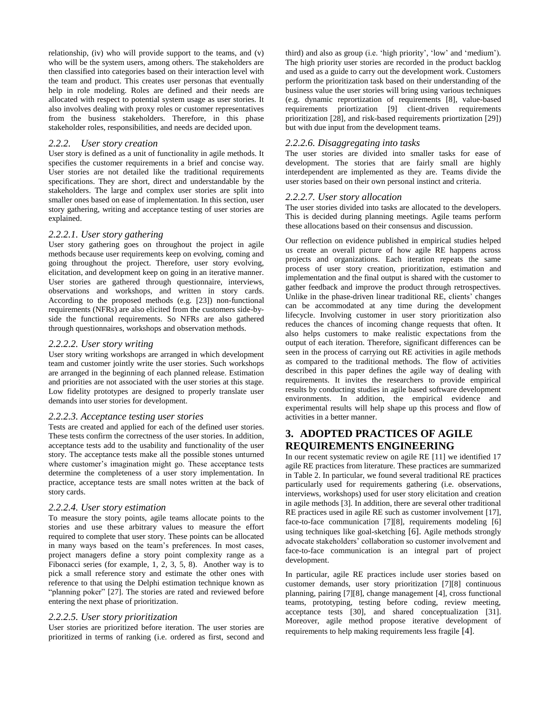relationship, (iv) who will provide support to the teams, and (v) who will be the system users, among others. The stakeholders are then classified into categories based on their interaction level with the team and product. This creates user personas that eventually help in role modeling. Roles are defined and their needs are allocated with respect to potential system usage as user stories. It also involves dealing with proxy roles or customer representatives from the business stakeholders. Therefore, in this phase stakeholder roles, responsibilities, and needs are decided upon.

#### *2.2.2. User story creation*

User story is defined as a unit of functionality in agile methods. It specifies the customer requirements in a brief and concise way. User stories are not detailed like the traditional requirements specifications. They are short, direct and understandable by the stakeholders. The large and complex user stories are split into smaller ones based on ease of implementation. In this section, user story gathering, writing and acceptance testing of user stories are explained.

#### *2.2.2.1. User story gathering*

User story gathering goes on throughout the project in agile methods because user requirements keep on evolving, coming and going throughout the project. Therefore, user story evolving, elicitation, and development keep on going in an iterative manner. User stories are gathered through questionnaire, interviews, observations and workshops, and written in story cards. According to the proposed methods (e.g. [23]) non-functional requirements (NFRs) are also elicited from the customers side-byside the functional requirements. So NFRs are also gathered through questionnaires, workshops and observation methods.

#### *2.2.2.2. User story writing*

User story writing workshops are arranged in which development team and customer jointly write the user stories. Such workshops are arranged in the beginning of each planned release. Estimation and priorities are not associated with the user stories at this stage. Low fidelity prototypes are designed to properly translate user demands into user stories for development.

#### *2.2.2.3. Acceptance testing user stories*

Tests are created and applied for each of the defined user stories. These tests confirm the correctness of the user stories. In addition, acceptance tests add to the usability and functionality of the user story. The acceptance tests make all the possible stones unturned where customer's imagination might go. These acceptance tests determine the completeness of a user story implementation. In practice, acceptance tests are small notes written at the back of story cards.

#### *2.2.2.4. User story estimation*

To measure the story points, agile teams allocate points to the stories and use these arbitrary values to measure the effort required to complete that user story. These points can be allocated in many ways based on the team's preferences. In most cases, project managers define a story point complexity range as a Fibonacci series (for example, 1, 2, 3, 5, 8). Another way is to pick a small reference story and estimate the other ones with reference to that using the Delphi estimation technique known as "planning poker" [27]. The stories are rated and reviewed before entering the next phase of prioritization.

#### *2.2.2.5. User story prioritization*

User stories are prioritized before iteration. The user stories are prioritized in terms of ranking (i.e. ordered as first, second and third) and also as group (i.e. 'high priority', 'low' and 'medium'). The high priority user stories are recorded in the product backlog and used as a guide to carry out the development work. Customers perform the prioritization task based on their understanding of the business value the user stories will bring using various techniques (e.g. dynamic reprortization of requirements [8], value-based requirements priortization [9] client-driven requirements prioritization [28], and risk-based requirements priortization [29]) but with due input from the development teams.

#### *2.2.2.6. Disaggregating into tasks*

The user stories are divided into smaller tasks for ease of development. The stories that are fairly small are highly interdependent are implemented as they are. Teams divide the user stories based on their own personal instinct and criteria.

#### *2.2.2.7. User story allocation*

The user stories divided into tasks are allocated to the developers. This is decided during planning meetings. Agile teams perform these allocations based on their consensus and discussion.

Our reflection on evidence published in empirical studies helped us create an overall picture of how agile RE happens across projects and organizations. Each iteration repeats the same process of user story creation, prioritization, estimation and implementation and the final output is shared with the customer to gather feedback and improve the product through retrospectives. Unlike in the phase-driven linear traditional RE, clients' changes can be accommodated at any time during the development lifecycle. Involving customer in user story prioritization also reduces the chances of incoming change requests that often. It also helps customers to make realistic expectations from the output of each iteration. Therefore, significant differences can be seen in the process of carrying out RE activities in agile methods as compared to the traditional methods. The flow of activities described in this paper defines the agile way of dealing with requirements. It invites the researchers to provide empirical results by conducting studies in agile based software development environments. In addition, the empirical evidence and experimental results will help shape up this process and flow of activities in a better manner.

# **3. ADOPTED PRACTICES OF AGILE REQUIREMENTS ENGINEERING**

In our recent systematic review on agile RE [11] we identified 17 agile RE practices from literature. These practices are summarized in Table 2. In particular, we found several traditional RE practices particularly used for requirements gathering (i.e. observations, interviews, workshops) used for user story elicitation and creation in agile methods [3]. In addition, there are several other traditional RE practices used in agile RE such as customer involvement [17], face-to-face communication [7][8], requirements modeling [6] using techniques like goal-sketching [6]. Agile methods strongly advocate stakeholders' collaboration so customer involvement and face-to-face communication is an integral part of project development.

In particular, agile RE practices include user stories based on customer demands, user story prioritization [7][8] continuous planning, pairing [7][8], change management [4], cross functional teams, prototyping, testing before coding, review meeting, acceptance tests [30], and shared conceptualization [31]. Moreover, agile method propose iterative development of requirements to help making requirements less fragile [4].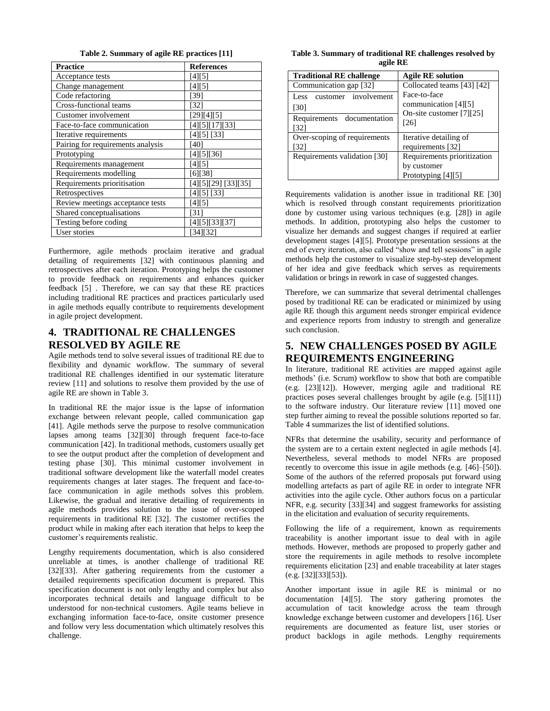**Table 2. Summary of agile RE practices [11]** 

| <b>Practice</b>                   | <b>References</b>  |
|-----------------------------------|--------------------|
| Acceptance tests                  | [4][5]             |
| Change management                 | [4][5]             |
| Code refactoring                  | [39]               |
| Cross-functional teams            | [32]               |
| Customer involvement              | [29][4][5]         |
| Face-to-face communication        | [4][5][17][33]     |
| Iterative requirements            | [4][5][33]         |
| Pairing for requirements analysis | [40]               |
| Prototyping                       | [4][5][36]         |
| Requirements management           | [4][5]             |
| Requirements modelling            | $[6]$ [38]         |
| Requirements prioritisation       | [4][5][29][33][35] |
| Retrospectives                    | [4][5][33]         |
| Review meetings acceptance tests  | [4][5]             |
| Shared conceptualisations         | [31]               |
| Testing before coding             | [4][5][33][37]     |
| User stories                      | [34][32]           |

Furthermore, agile methods proclaim iterative and gradual detailing of requirements [32] with continuous planning and retrospectives after each iteration. Prototyping helps the customer to provide feedback on requirements and enhances quicker feedback [5] . Therefore, we can say that these RE practices including traditional RE practices and practices particularly used in agile methods equally contribute to requirements development in agile project development.

# **4. TRADITIONAL RE CHALLENGES RESOLVED BY AGILE RE**

Agile methods tend to solve several issues of traditional RE due to flexibility and dynamic workflow. The summary of several traditional RE challenges identified in our systematic literature review [11] and solutions to resolve them provided by the use of agile RE are shown in Table 3.

In traditional RE the major issue is the lapse of information exchange between relevant people, called communication gap [41]. Agile methods serve the purpose to resolve communication lapses among teams [32][30] through frequent face-to-face communication [42]. In traditional methods, customers usually get to see the output product after the completion of development and testing phase [30]. This minimal customer involvement in traditional software development like the waterfall model creates requirements changes at later stages. The frequent and face-toface communication in agile methods solves this problem. Likewise, the gradual and iterative detailing of requirements in agile methods provides solution to the issue of over-scoped requirements in traditional RE [32]. The customer rectifies the product while in making after each iteration that helps to keep the customer's requirements realistic.

Lengthy requirements documentation, which is also considered unreliable at times, is another challenge of traditional RE [32][33]. After gathering requirements from the customer a detailed requirements specification document is prepared. This specification document is not only lengthy and complex but also incorporates technical details and language difficult to be understood for non-technical customers. Agile teams believe in exchanging information face-to-face, onsite customer presence and follow very less documentation which ultimately resolves this challenge.

**Table 3. Summary of traditional RE challenges resolved by agile RE** 

| <b>Traditional RE challenge</b> | <b>Agile RE solution</b>                                 |  |
|---------------------------------|----------------------------------------------------------|--|
| Communication gap [32]          | Collocated teams [43] [42]                               |  |
| Less customer involvement       | Face-to-face                                             |  |
| [30]                            | communication [4][5]<br>On-site customer [7][25]<br>[26] |  |
| Requirements documentation      |                                                          |  |
| [32]                            |                                                          |  |
| Over-scoping of requirements    | Iterative detailing of                                   |  |
| [32]                            | requirements [32]                                        |  |
| Requirements validation [30]    | Requirements prioritization                              |  |
|                                 | by customer                                              |  |
|                                 | Prototyping [4][5]                                       |  |

Requirements validation is another issue in traditional RE [30] which is resolved through constant requirements prioritization done by customer using various techniques (e.g. [28]) in agile methods. In addition, prototyping also helps the customer to visualize her demands and suggest changes if required at earlier development stages [4][5]. Prototype presentation sessions at the end of every iteration, also called "show and tell sessions" in agile methods help the customer to visualize step-by-step development of her idea and give feedback which serves as requirements validation or brings in rework in case of suggested changes.

Therefore, we can summarize that several detrimental challenges posed by traditional RE can be eradicated or minimized by using agile RE though this argument needs stronger empirical evidence and experience reports from industry to strength and generalize such conclusion.

# **5. NEW CHALLENGES POSED BY AGILE REQUIREMENTS ENGINEERING**

In literature, traditional RE activities are mapped against agile methods' (i.e. Scrum) workflow to show that both are compatible (e.g. [23][12]). However, merging agile and traditional RE practices poses several challenges brought by agile (e.g. [5][11]) to the software industry. Our literature review [11] moved one step further aiming to reveal the possible solutions reported so far. Table 4 summarizes the list of identified solutions.

NFRs that determine the usability, security and performance of the system are to a certain extent neglected in agile methods [4]. Nevertheless, several methods to model NFRs are proposed recently to overcome this issue in agile methods (e.g. [46]–[50]). Some of the authors of the referred proposals put forward using modelling artefacts as part of agile RE in order to integrate NFR activities into the agile cycle. Other authors focus on a particular NFR, e.g. security [33][34] and suggest frameworks for assisting in the elicitation and evaluation of security requirements.

Following the life of a requirement, known as requirements traceability is another important issue to deal with in agile methods. However, methods are proposed to properly gather and store the requirements in agile methods to resolve incomplete requirements elicitation [23] and enable traceability at later stages (e.g. [32][33][53]).

Another important issue in agile RE is minimal or no documentation [4][5]. The story gathering promotes the accumulation of tacit knowledge across the team through knowledge exchange between customer and developers [16]. User requirements are documented as feature list, user stories or product backlogs in agile methods. Lengthy requirements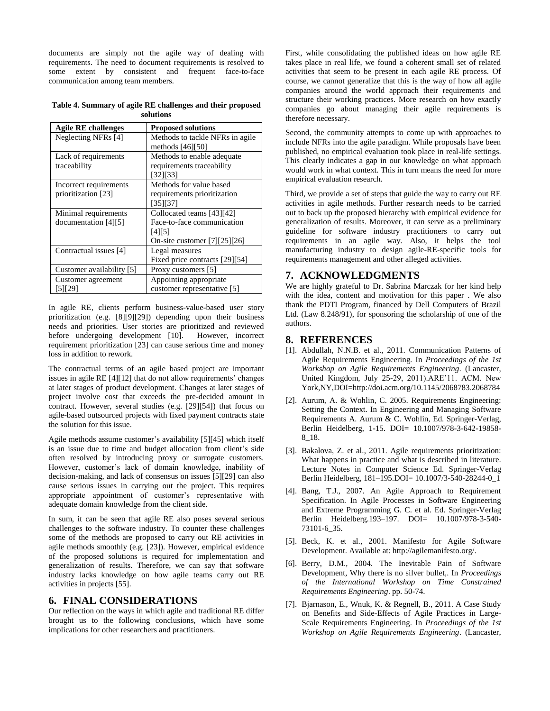documents are simply not the agile way of dealing with requirements. The need to document requirements is resolved to some extent by consistent and frequent face-to-face communication among team members.

#### **Table 4. Summary of agile RE challenges and their proposed solutions**

| <b>Agile RE challenges</b> | <b>Proposed solutions</b>       |  |
|----------------------------|---------------------------------|--|
| Neglecting NFRs [4]        | Methods to tackle NFRs in agile |  |
|                            | methods $[46][50]$              |  |
| Lack of requirements       | Methods to enable adequate      |  |
| traceability               | requirements traceability       |  |
|                            | [32] [33]                       |  |
| Incorrect requirements     | Methods for value based         |  |
| prioritization [23]        | requirements prioritization     |  |
|                            | [35][37]                        |  |
| Minimal requirements       | Collocated teams [43][42]       |  |
| documentation [4][5]       | Face-to-face communication      |  |
|                            | [4][5]                          |  |
|                            | On-site customer $[7][25][26]$  |  |
| Contractual issues [4]     | Legal measures                  |  |
|                            | Fixed price contracts [29][54]  |  |
| Customer availability [5]  | Proxy customers [5]             |  |
| Customer agreement         | Appointing appropriate          |  |
| [5][29]                    | customer representative [5]     |  |

In agile RE, clients perform business-value-based user story prioritization (e.g. [8][9][29]) depending upon their business needs and priorities. User stories are prioritized and reviewed before undergoing development [10]. However, incorrect requirement prioritization [23] can cause serious time and money loss in addition to rework.

The contractual terms of an agile based project are important issues in agile RE [4][12] that do not allow requirements' changes at later stages of product development. Changes at later stages of project involve cost that exceeds the pre-decided amount in contract. However, several studies (e.g. [29][54]) that focus on agile-based outsourced projects with fixed payment contracts state the solution for this issue.

Agile methods assume customer's availability [5][45] which itself is an issue due to time and budget allocation from client's side often resolved by introducing proxy or surrogate customers. However, customer's lack of domain knowledge, inability of decision-making, and lack of consensus on issues [5][29] can also cause serious issues in carrying out the project. This requires appropriate appointment of customer's representative with adequate domain knowledge from the client side.

In sum, it can be seen that agile RE also poses several serious challenges to the software industry. To counter these challenges some of the methods are proposed to carry out RE activities in agile methods smoothly (e.g. [23]). However, empirical evidence of the proposed solutions is required for implementation and generalization of results. Therefore, we can say that software industry lacks knowledge on how agile teams carry out RE activities in projects [55].

## **6. FINAL CONSIDERATIONS**

Our reflection on the ways in which agile and traditional RE differ brought us to the following conclusions, which have some implications for other researchers and practitioners.

First, while consolidating the published ideas on how agile RE takes place in real life, we found a coherent small set of related activities that seem to be present in each agile RE process. Of course, we cannot generalize that this is the way of how all agile companies around the world approach their requirements and structure their working practices. More research on how exactly companies go about managing their agile requirements is therefore necessary.

Second, the community attempts to come up with approaches to include NFRs into the agile paradigm. While proposals have been published, no empirical evaluation took place in real-life settings. This clearly indicates a gap in our knowledge on what approach would work in what context. This in turn means the need for more empirical evaluation research.

Third, we provide a set of steps that guide the way to carry out RE activities in agile methods. Further research needs to be carried out to back up the proposed hierarchy with empirical evidence for generalization of results. Moreover, it can serve as a preliminary guideline for software industry practitioners to carry out requirements in an agile way. Also, it helps the tool manufacturing industry to design agile-RE-specific tools for requirements management and other alleged activities.

# **7. ACKNOWLEDGMENTS**

We are highly grateful to Dr. Sabrina Marczak for her kind help with the idea, content and motivation for this paper . We also thank the PDTI Program, financed by Dell Computers of Brazil Ltd. (Law 8.248/91), for sponsoring the scholarship of one of the authors.

## **8. REFERENCES**

- [1]. Abdullah, N.N.B. et al., 2011. Communication Patterns of Agile Requirements Engineering. In *Proceedings of the 1st Workshop on Agile Requirements Engineering*. (Lancaster, United Kingdom, July 25-29, 2011).ARE'11. ACM. New York,NY,DOI=http://doi.acm.org/10.1145/2068783.2068784
- [2]. Aurum, A. & Wohlin, C. 2005. Requirements Engineering: Setting the Context. In Engineering and Managing Software Requirements A. Aurum & C. Wohlin, Ed. Springer-Verlag, Berlin Heidelberg, 1-15. DOI= 10.1007/978-3-642-19858- 8\_18.
- [3]. Bakalova, Z. et al., 2011. Agile requirements prioritization: What happens in practice and what is described in literature. Lecture Notes in Computer Science Ed. Springer-Verlag Berlin Heidelberg, 181–195.DOI= 10.1007/3-540-28244-0\_1
- [4]. Bang, T.J., 2007. An Agile Approach to Requirement Specification. In [Agile Processes in Software Engineering](http://link.springer.com/book/10.1007/978-3-540-73101-6)  [and Extreme Programming](http://link.springer.com/book/10.1007/978-3-540-73101-6) G. C. et al. Ed. Springer-Verlag Berlin Heidelberg.193–197. DOI= 10.1007/978-3-540- 73101-6\_35.
- [5]. Beck, K. et al., 2001. Manifesto for Agile Software Development. Available at: http://agilemanifesto.org/.
- [6]. Berry, D.M., 2004. The Inevitable Pain of Software Development, Why there is no silver bullet,. In *Proceedings of the International Workshop on Time Constrained Requirements Engineering*. pp. 50-74.
- [7]. Bjarnason, E., Wnuk, K. & Regnell, B., 2011. A Case Study on Benefits and Side-Effects of Agile Practices in Large-Scale Requirements Engineering. In *Proceedings of the 1st Workshop on Agile Requirements Engineering*. (Lancaster,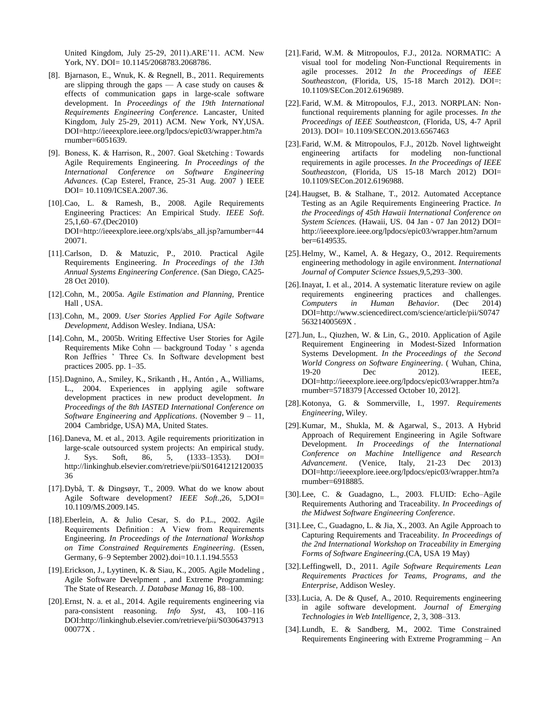United Kingdom, July 25-29, 2011).ARE'11. ACM. New York, NY. DOI= [10.1145/2068783.2068786.](http://dx.doi.org/10.1145/2068783.2068786)

- [8]. Bjarnason, E., Wnuk, K. & Regnell, B., 2011. Requirements are slipping through the gaps  $- A$  case study on causes  $\&$ effects of communication gaps in large-scale software development. In *Proceedings of the 19th International Requirements Engineering Conference.* Lancaster, United Kingdom, July 25-29, 2011) [ACM.](http://www.acm.org/publications) New York, NY,USA. DOI=http://ieeexplore.ieee.org/lpdocs/epic03/wrapper.htm?a rnumber=6051639.
- [9]. Boness, K. & Harrison, R., 2007. Goal Sketching : Towards Agile Requirements Engineering. *In Proceedings of the International Conference on Software Engineering Advances*. (Cap Esterel, France, 25-31 Aug. 2007 ) IEEE DOI[= 10.1109/ICSEA.2007.36.](http://dx.doi.org/10.1109/ICSEA.2007.36)
- [10].Cao, L. & Ramesh, B., 2008. Agile Requirements Engineering Practices: An Empirical Study*. IEEE Soft.* 25,1,60–67.(Dec2010) DOI=http://ieeexplore.ieee.org/xpls/abs\_all.jsp?arnumber=44 20071.
- [11].Carlson, D. & Matuzic, P., 2010. Practical Agile Requirements Engineering. *In Proceedings of the 13th Annual Systems Engineering Conference*. (San Diego, CA25- 28 Oct 2010).
- [12].Cohn, M., 2005a. *Agile Estimation and Planning,* Prentice Hall , USA.
- [13].Cohn, M., 2009. *User Stories Applied For Agile Software Development*, Addison Wesley. Indiana, USA:
- [14].Cohn, M., 2005b. Writing Effective User Stories for Agile Requirements Mike Cohn — background Today ' s agenda Ron Jeffries ' Three Cs. In Software development best practices 2005. pp. 1–35.
- [15].Dagnino, A., Smiley, K., Srikanth , H., Antón , A., Williams, L., 2004. Experiences in applying agile software development practices in new product development. *In Proceedings of the 8th IASTED International Conference on Software Engineering and Applications*. (November 9 – 11, 2004 Cambridge, USA) MA, United States.
- [16].Daneva, M. et al., 2013. Agile requirements prioritization in large-scale outsourced system projects: An empirical study. J. Sys. Soft, 86, 5, (1333–1353). DOI= http://linkinghub.elsevier.com/retrieve/pii/S01641212120035 36
- [17].Dybå, T. & Dingsøyr, T., 2009. What do we know about Agile Software development? *IEEE Soft*.,26, 5,DOI= [10.1109/MS.2009.145.](http://dx.doi.org/10.1109/MS.2009.145)
- [18].Eberlein, A. & Julio Cesar, S. do P.L., 2002. Agile Requirements Definition : A View from Requirements Engineering. *In Proceedings of the International Workshop on Time Constrained Requirements Engineering*. (Essen, Germany, 6–9 September 2002).doi=10.1.1.194.5553
- [19].Erickson, J., Lyytinen, K. & Siau, K., 2005. Agile Modeling , Agile Software Develpment , and Extreme Programming: The State of Research. *J. Database Manag* 16, 88–100.
- [20].Ernst, N. a. et al., 2014. Agile requirements engineering via para-consistent reasoning. *Info Syst,* 43, 100–116 DOI:http://linkinghub.elsevier.com/retrieve/pii/S0306437913 00077X .
- [21].Farid, W.M. & Mitropoulos, F.J., 2012a. NORMATIC: A visual tool for modeling Non-Functional Requirements in agile processes. 2012 *In the Proceedings of IEEE Southeastcon*, (Florida, US, 15-18 March 2012). DOI=: [10.1109/SECon.2012.6196989.](http://dx.doi.org/10.1109/SECon.2012.6196989)
- [22].Farid, W.M. & Mitropoulos, F.J., 2013. NORPLAN: Nonfunctional requirements planning for agile processes. *In the Proceedings of IEEE Southeastcon*, (Florida, US, 4-7 April 2013). DOI[= 10.1109/SECON.2013.6567463](http://dx.doi.org/10.1109/SECON.2013.6567463)
- [23].Farid, W.M. & Mitropoulos, F.J., 2012b. Novel lightweight engineering artifacts for modeling non-functional requirements in agile processes. *In the Proceedings of IEEE Southeastcon,* (Florida, US 15-18 March 2012) DOI= [10.1109/SECon.2012.6196988.](http://dx.doi.org/10.1109/SECon.2012.6196988)
- [24].Haugset, B. & Stalhane, T., 2012. Automated Acceptance Testing as an Agile Requirements Engineering Practice. *In the Proceedings of 45th Hawaii International Conference on System Sciences.* (Hawaii, US. 04 Jan - 07 Jan 2012) DOI= http://ieeexplore.ieee.org/lpdocs/epic03/wrapper.htm?arnum ber=6149535.
- [25].Helmy, W., Kamel, A. & Hegazy, O., 2012. Requirements engineering methodology in agile environment*. International Journal of Computer Science Issue*s,9,5,293–300.
- [26].Inayat, I. et al., 2014. A systematic literature review on agile requirements engineering practices and challenges. *Computers in Human Behavior.* (Dec 2014) DOI=http://www.sciencedirect.com/science/article/pii/S0747 56321400569X .
- [27].Jun, L., Qiuzhen, W. & Lin, G., 2010. Application of Agile Requirement Engineering in Modest-Sized Information Systems Development. *In the Proceedings of the Second World Congress on Software Engineering*. ( Wuhan, China, 19-20 Dec 2012). IEEE, DOI=http://ieeexplore.ieee.org/lpdocs/epic03/wrapper.htm?a rnumber=5718379 [Accessed October 10, 2012].
- [28].Kotonya, G. & Sommerville, I., 1997. *Requirements Engineering*, Wiley.
- [29].Kumar, M., Shukla, M. & Agarwal, S., 2013. A Hybrid Approach of Requirement Engineering in Agile Software Development*. In Proceedings of the International Conference on Machine Intelligence and Research Advancement*. (Venice, Italy, 21-23 Dec 2013) DOI=http://ieeexplore.ieee.org/lpdocs/epic03/wrapper.htm?a rnumber=6918885.
- [30].Lee, C. & Guadagno, L., 2003. FLUID: Echo–Agile Requirements Authoring and Traceability. *In Proceedings of the Midwest Software Engineering Conference*.
- [31].Lee, C., Guadagno, L. & Jia, X., 2003. An Agile Approach to Capturing Requirements and Traceability. *In Proceedings of the 2nd International Workshop on Traceability in Emerging Forms of Software Engineering*.(CA, USA 19 May)
- [32].Leffingwell, D., 2011. *Agile Software Requirements Lean Requirements Practices for Teams, Programs, and the Enterprise,* Addison Wesley.
- [33].Lucia, A. De & Qusef, A., 2010. Requirements engineering in agile software development. *Journal of Emerging Technologies in Web Intelligence*, 2, 3, 308–313.
- [34].Lundh, E. & Sandberg, M., 2002. Time Constrained Requirements Engineering with Extreme Programming – An